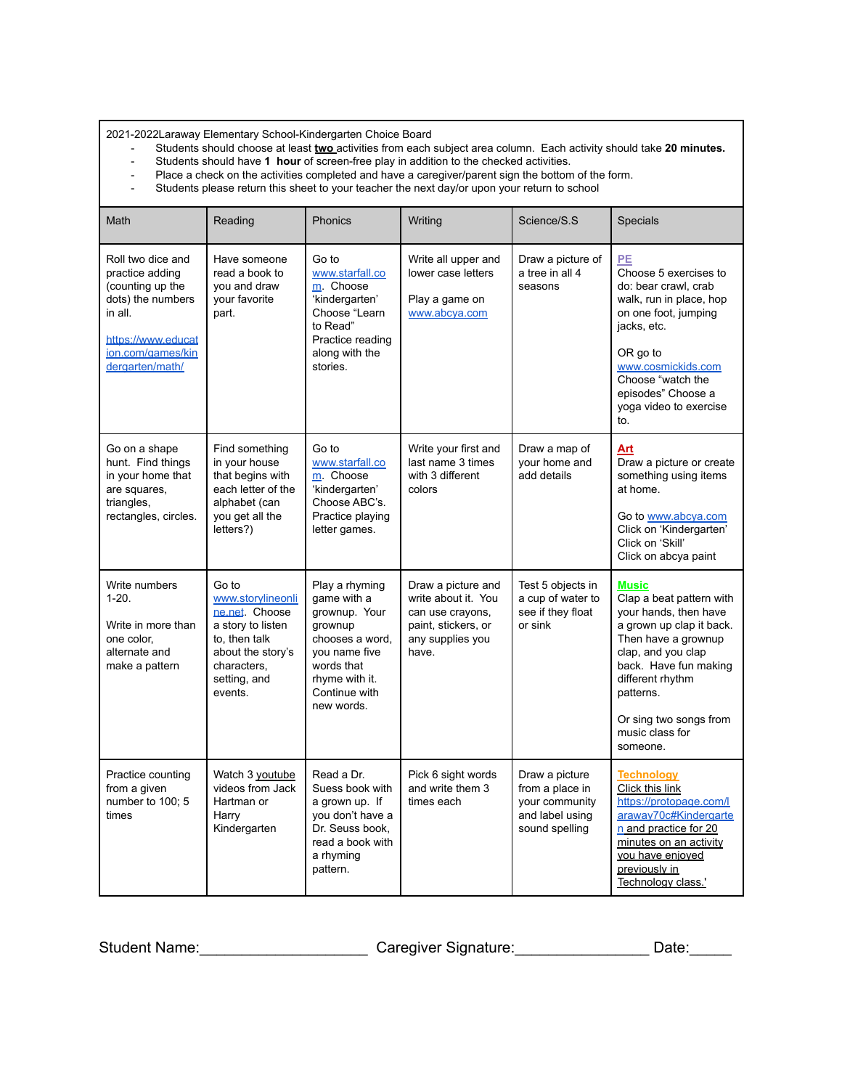2021-2022Laraway Elementary School-Kindergarten Choice Board

- Students should choose at least **two** activities from each subject area column. Each activity should take **20 minutes.**
- Place a check on the activities completed and have a caregiver/parent sign the bottom of the form.
- Students should have **1 hour** of screen-free play in addition to the checked activities.<br>- Place a check on the activities completed and have a caregiver/parent sign the bottom<br>- Students please return this sheet to your Students please return this sheet to your teacher the next day/or upon your return to school

| Math                                                                                                                                                   | Reading                                                                                                                                          | Phonics                                                                                                                                                      | Writing                                                                                                           | Science/S.S                                                                              | <b>Specials</b>                                                                                                                                                                                                                                               |
|--------------------------------------------------------------------------------------------------------------------------------------------------------|--------------------------------------------------------------------------------------------------------------------------------------------------|--------------------------------------------------------------------------------------------------------------------------------------------------------------|-------------------------------------------------------------------------------------------------------------------|------------------------------------------------------------------------------------------|---------------------------------------------------------------------------------------------------------------------------------------------------------------------------------------------------------------------------------------------------------------|
| Roll two dice and<br>practice adding<br>(counting up the<br>dots) the numbers<br>in all.<br>https://www.educat<br>ion.com/games/kin<br>dergarten/math/ | Have someone<br>read a book to<br>you and draw<br>your favorite<br>part.                                                                         | Go to<br>www.starfall.co<br>m Choose<br>'kindergarten'<br>Choose "Learn<br>to Read"<br>Practice reading<br>along with the<br>stories.                        | Write all upper and<br>lower case letters<br>Play a game on<br>www.abcya.com                                      | Draw a picture of<br>a tree in all 4<br>seasons                                          | PE<br>Choose 5 exercises to<br>do: bear crawl, crab<br>walk, run in place, hop<br>on one foot, jumping<br>jacks, etc.<br>OR go to<br>www.cosmickids.com<br>Choose "watch the<br>episodes" Choose a<br>yoga video to exercise<br>to.                           |
| Go on a shape<br>hunt. Find things<br>in your home that<br>are squares,<br>triangles,<br>rectangles, circles.                                          | Find something<br>in your house<br>that begins with<br>each letter of the<br>alphabet (can<br>you get all the<br>letters?)                       | Go to<br>www.starfall.co<br>m Choose<br>'kindergarten'<br>Choose ABC's.<br>Practice playing<br>letter games.                                                 | Write your first and<br>last name 3 times<br>with 3 different<br>colors                                           | Draw a map of<br>your home and<br>add details                                            | Art<br>Draw a picture or create<br>something using items<br>at home.<br>Go to www.abcya.com<br>Click on 'Kindergarten'<br>Click on 'Skill'<br>Click on abcya paint                                                                                            |
| Write numbers<br>$1-20.$<br>Write in more than<br>one color.<br>alternate and<br>make a pattern                                                        | Go to<br>www.storylineonli<br>ne.net Choose<br>a story to listen<br>to, then talk<br>about the story's<br>characters,<br>setting, and<br>events. | Play a rhyming<br>game with a<br>grownup. Your<br>grownup<br>chooses a word,<br>you name five<br>words that<br>rhyme with it.<br>Continue with<br>new words. | Draw a picture and<br>write about it. You<br>can use crayons,<br>paint, stickers, or<br>any supplies you<br>have. | Test 5 objects in<br>a cup of water to<br>see if they float<br>or sink                   | <b>Music</b><br>Clap a beat pattern with<br>your hands, then have<br>a grown up clap it back.<br>Then have a grownup<br>clap, and you clap<br>back. Have fun making<br>different rhythm<br>patterns.<br>Or sing two songs from<br>music class for<br>someone. |
| Practice counting<br>from a given<br>number to 100; 5<br>times                                                                                         | Watch 3 youtube<br>videos from Jack<br>Hartman or<br>Harry<br>Kindergarten                                                                       | Read a Dr.<br>Suess book with<br>a grown up. If<br>you don't have a<br>Dr. Seuss book.<br>read a book with<br>a rhyming<br>pattern.                          | Pick 6 sight words<br>and write them 3<br>times each                                                              | Draw a picture<br>from a place in<br>your community<br>and label using<br>sound spelling | <b>Technology</b><br>Click this link<br>https://protopage.com/l<br>araway70c#Kindergarte<br>n and practice for 20<br>minutes on an activity<br>vou have enjoyed<br>previously in<br>Technology class.'                                                        |

Student Name:\_\_\_\_\_\_\_\_\_\_\_\_\_\_\_\_\_\_\_\_\_\_\_\_\_\_\_\_\_\_Caregiver Signature:\_\_\_\_\_\_\_\_\_\_\_\_\_\_\_\_\_\_\_\_\_\_Date:\_\_\_\_\_\_\_\_